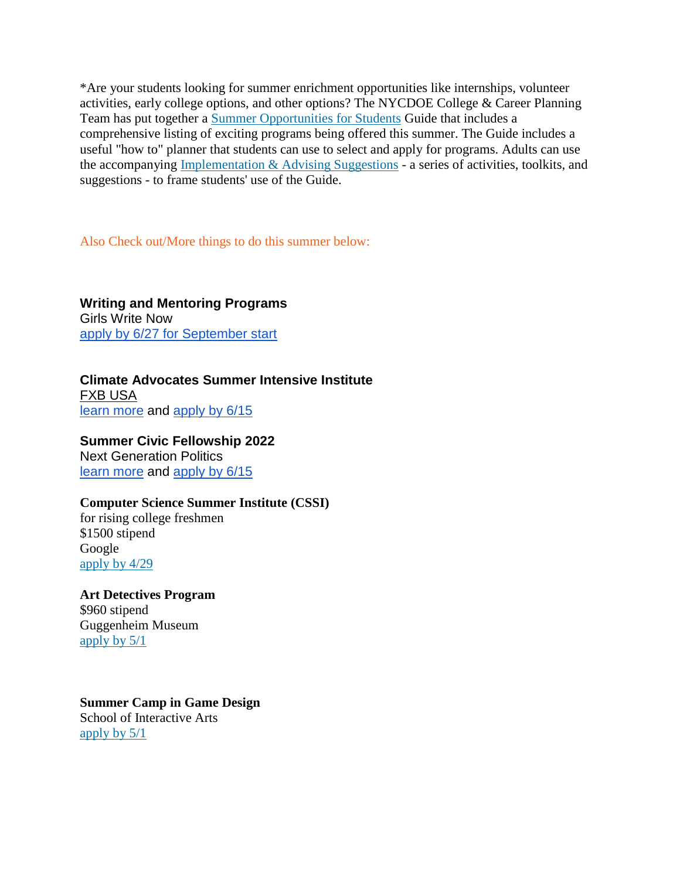\*Are your students looking for summer enrichment opportunities like internships, volunteer activities, early college options, and other options? The NYCDOE College & Career Planning Team has put together a Summer Opportunities for Students Guide that includes a comprehensive listing of exciting programs being offered this summer. The Guide includes a useful "how to" planner that students can use to select and apply for programs. Adults can use the accompanying Implementation & Advising Suggestions - a series of activities, toolkits, and suggestions - to frame students' use of the Guide.

Also Check out/More things to do this summer below:

**Writing and Mentoring Programs** Girls Write Now [apply by 6/27 for September start](http://url4609.membershiptoolkit.com/ls/click?upn=FTty5V0uuoiluYrdQqWQqFthr6o5-2BEU5QeOJojWT6TA-2BEw-2BCBMojAlYlfBrUbRCEgxda_6cMkdQnTNSPN-2BU6tQPtC53YvqYXvgFl3B3iz5s9jCYyeNK32d10TAtIWEzm0-2F2Z-2BMyC1DJhPiCAXzOj5cRjoYNJYXun84IpDu-2BMcdP2IpWZVfA-2BH9d0HobBGdMA6sYGLMU-2B7LyDqIM9nX4UN-2FDZ5Wys5mZxD5MhbHCCxaG-2FPVp4Rnx-2FXrbOv4Utmk-2BlSCu-2F-2Fj056GqMjHjKSCGX0-2B5XN3x0GQf0ulhuUdHBkw2rnGurZEiubtHzREJW9WpAVhqqMe7HD3Bxtk32SCsCI-2FZxvVKosYnY-2BhHNYLTCsVCP-2F-2BHzh1Qz-2FFLQ-2Frn7Ie7HDNOUJzVTmz4sF26SeYKtIGVoIaOBj5VpzD5s-2BcaJ64NAN-2BNCwktOMXmOiWIYUlxKllcPi)

**[Climate Advocates Summer Intensive Institute](http://url4609.membershiptoolkit.com/ls/click?upn=FTty5V0uuoiluYrdQqWQqFthr6o5-2BEU5QeOJojWT6TA-2BEw-2BCBMojAlYlfBrUbRCEgxda_6cMkdQnTNSPN-2BU6tQPtC53YvqYXvgFl3B3iz5s9jCYyeNK32d10TAtIWEzm0-2F2Z-2BMyC1DJhPiCAXzOj5cRjoYNJYXun84IpDu-2BMcdP2IpWZVfA-2BH9d0HobBGdMA6sYGLMU-2B7LyDqIM9nX4UN-2FDZ5Wys5mZxD5MhbHCCxaG-2FPVp4Rnx-2FXrbOv4Utmk-2BlSCu-2F-2Fj056GqMjHjKSCGX0-2B5XN3x0GQf0ulhuUdHBkw2rnGurZEiubtHzREJW9WpAVhqqMe7HD3Bxtk32SCsCI-2FZxvVKosYnY-2BhHNYLTCsVCP-2F-2BHzh1Qz-2FFLQ-2Frn7Ie7HDNOUJzVTmz4sF26SeYKtIGVoIaOBj5VpzD5s-2BcaJ64NAN-2BNCwktOMXmOiWIYUlxKllcPi)** [FXB USA](http://url4609.membershiptoolkit.com/ls/click?upn=FTty5V0uuoiluYrdQqWQqFthr6o5-2BEU5QeOJojWT6TA-2BEw-2BCBMojAlYlfBrUbRCEgxda_6cMkdQnTNSPN-2BU6tQPtC53YvqYXvgFl3B3iz5s9jCYyeNK32d10TAtIWEzm0-2F2Z-2BMyC1DJhPiCAXzOj5cRjoYNJYXun84IpDu-2BMcdP2IpWZVfA-2BH9d0HobBGdMA6sYGLMU-2B7LyDqIM9nX4UN-2FDZ5Wys5mZxD5MhbHCCxaG-2FPVp4Rnx-2FXrbOv4Utmk-2BlSCu-2F-2Fj056GqMjHjKSCGX0-2B5XN3x0GQf0ulhuUdHBkw2rnGurZEiubtHzREJW9WpAVhqqMe7HD3Bxtk32SCsCI-2FZxvVKosYnY-2BhHNYLTCsVCP-2F-2BHzh1Qz-2FFLQ-2Frn7Ie7HDNOUJzVTmz4sF26SeYKtIGVoIaOBj5VpzD5s-2BcaJ64NAN-2BNCwktOMXmOiWIYUlxKllcPi) [learn more](http://url4609.membershiptoolkit.com/ls/click?upn=iKpa70ntmsIg0j801x7s-2B-2FOHsL7tvitIdUxjtQOufR73M-2BfreomvRYG-2FN8WxbRd72x-2FH3O90aw40txkirU2YtSJq3HVhS7dbQUlM9CBeefgxIIdL0TR2UFSpXXYiykHYFyejDyRAwpRDWmcq0-2F95LDmhzcFpUspShsp5lOqYEnDd3X-2Fc-2BWT6qAG25ScyEVr9NA90qHQPARIvceRYnyMrXzCoiRa-2B90Q2SNLvIemvadY-3DC69k_6cMkdQnTNSPN-2BU6tQPtC53YvqYXvgFl3B3iz5s9jCYyeNK32d10TAtIWEzm0-2F2Z-2BMyC1DJhPiCAXzOj5cRjoYNJYXun84IpDu-2BMcdP2IpWZVfA-2BH9d0HobBGdMA6sYGLMU-2B7LyDqIM9nX4UN-2FDZ5Wys5mZxD5MhbHCCxaG-2FPVp4Rnx-2FXrbOv4Utmk-2BlSCu-2F-2FHGtFTgGVl-2FU3EMKu0CCIm-2BwIiyz0LbUmR9QcXXO-2Bp3-2Fyi27DLG-2FunWPSfZ7onna1l9-2BZLl30-2FN5GzcSsqkuIFZdLc4SIcSlhsW1FDCIIjLyDzEHd8iaF2bA-2BrtMq104asB5EYS6FAWSLX1fUYTeQOsFOws3FVyHxnakR18hftHWlZxsSsqv1-2FwoYECkV6Zlf) and [apply by 6/15](http://url4609.membershiptoolkit.com/ls/click?upn=er8IdfVRSZKYn-2FJwieWgBvJiBaDcGxcFdjxxXgB2PBQ7m1OLE2WnSSmEg5m38IJtoHQTgxSHJbaUAriYDVPHJCT7OFU6RkH-2Fj8XKKFGKp5ANVcWj7or-2B6g2zfms9hJdcD3VPFVOfm6fbAeKP3ekI4Q-3D-3DnI_F_6cMkdQnTNSPN-2BU6tQPtC53YvqYXvgFl3B3iz5s9jCYyeNK32d10TAtIWEzm0-2F2Z-2BMyC1DJhPiCAXzOj5cRjoYNJYXun84IpDu-2BMcdP2IpWZVfA-2BH9d0HobBGdMA6sYGLMU-2B7LyDqIM9nX4UN-2FDZ5Wys5mZxD5MhbHCCxaG-2FPVp4Rnx-2FXrbOv4Utmk-2BlSCu-2F-2FkzhEvTdoQ5NrT6M8YaS9laxLoEk-2F-2FHIo4O58zjDlsOflKXmmH8tobkrjlg5AfbojhE0UNi5yYncY-2Bjpdoi5ffTRNp-2BQBAjr-2FXFxUuoIvT4M8FlIcbIaFjQu1ZSp-2FqssaAHppilV3q0gSXpQ4yZl-2Fcla9OT84nmTTOlgcqzkItM1UoM1zkAfrh3GGo6gX1uFP)

**Summer Civic Fellowship 2022** Next Generation Politics [learn more](http://url4609.membershiptoolkit.com/ls/click?upn=iKpa70ntmsIg0j801x7s-2B4vP7ZmmOK-2FMD-2FrksWca4T5TRTMyeO-2FDpg-2BePKYHBaOKU4qrJstRBoMym9eFNSADpQ-3D-3D-o3z_6cMkdQnTNSPN-2BU6tQPtC53YvqYXvgFl3B3iz5s9jCYyeNK32d10TAtIWEzm0-2F2Z-2BMyC1DJhPiCAXzOj5cRjoYNJYXun84IpDu-2BMcdP2IpWZVfA-2BH9d0HobBGdMA6sYGLMU-2B7LyDqIM9nX4UN-2FDZ5Wys5mZxD5MhbHCCxaG-2FPVp4Rnx-2FXrbOv4Utmk-2BlSCu-2F-2FB7AtaV-2FCSH-2F8FP7ghoQ58vM45lE5a-2FHwiz76Q8OWaNqezwYXIvE2vM1NGsgUOVeZGYWyBKcnoKSirhE7nneDsF1bLqm3jUIh8a2ScId-2Fr4QBCgi1-2F-2B6jKPhSn8JUq1YfmKkpJM13m3n-2BVOg4ru9m9zVZvabPhufX0BnOUDnQv49g-2F4AO9boX5f7u8ERKdncA) and [apply by 6/15](http://url4609.membershiptoolkit.com/ls/click?upn=er8IdfVRSZKYn-2FJwieWgBvJiBaDcGxcFdjxxXgB2PBQ7m1OLE2WnSSmEg5m38IJtFvYTgQxkuGU3WRi0rM24ja8JUixLIh7dVmf70pnQvkciPABl66L2hMGu6-2B9djOOA-2F5g0c2xyMYFvFNF3-2B-2Fz48Q-3D-3Dc47W_6cMkdQnTNSPN-2BU6tQPtC53YvqYXvgFl3B3iz5s9jCYyeNK32d10TAtIWEzm0-2F2Z-2BMyC1DJhPiCAXzOj5cRjoYNJYXun84IpDu-2BMcdP2IpWZVfA-2BH9d0HobBGdMA6sYGLMU-2B7LyDqIM9nX4UN-2FDZ5Wys5mZxD5MhbHCCxaG-2FPVp4Rnx-2FXrbOv4Utmk-2BlSCu-2F-2Fm-2F1ric10k8yKPch5g2BH9bF0-2Fz8EugtyNg69CiuHptwlHy4spBClgXd8u-2B7-2BgYQJP14KVEzXJOSlkUxVKmAuYXz7wSvIGhV1pMKr-2B7wNdj8Y9fI-2Fw6ZlcMRUNa2wKV9dEn8Nf2MsIf7WdtjaP0v5x9ZaY2IMvDTwIAoD14-2FaDl6L7FHG5N0A3zJRrKoMEuWc)

# **Computer Science Summer Institute (CSSI)**

for rising college freshmen \$1500 stipend Google apply by 4/29

**Art Detectives Program** \$960 stipend Guggenheim Museum apply by 5/1

**Summer Camp in Game Design** School of Interactive Arts apply by 5/1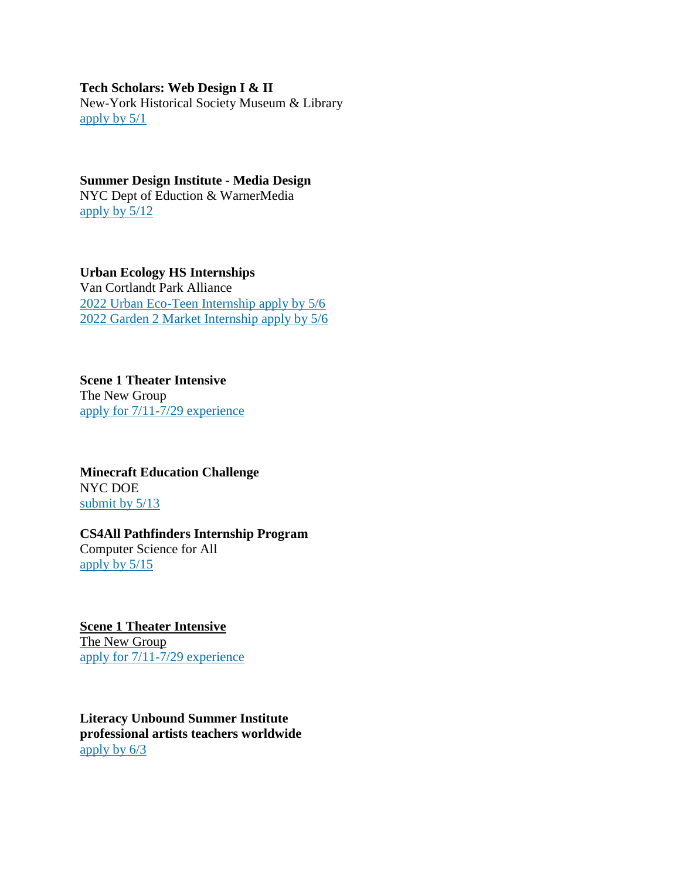### **Tech Scholars: Web Design I & II**

New-York Historical Society Museum & Library apply by  $5/1$ 

# **Summer Design Institute - Media Design** NYC Dept of Eduction & WarnerMedia

apply by 5/12

### **Urban Ecology HS Internships**

Van Cortlandt Park Alliance 2022 Urban Eco-Teen Internship apply by 5/6 2022 Garden 2 Market Internship apply by 5/6

**Scene 1 Theater Intensive** The New Group apply for 7/11-7/29 experience

**Minecraft Education Challenge** NYC DOE submit by  $5/13$ 

# **CS4All Pathfinders Internship Program**

Computer Science for All apply by 5/15

**Scene 1 Theater Intensive** The New Group apply for 7/11-7/29 experience

**Literacy Unbound Summer Institute professional artists teachers worldwide** apply by 6/3